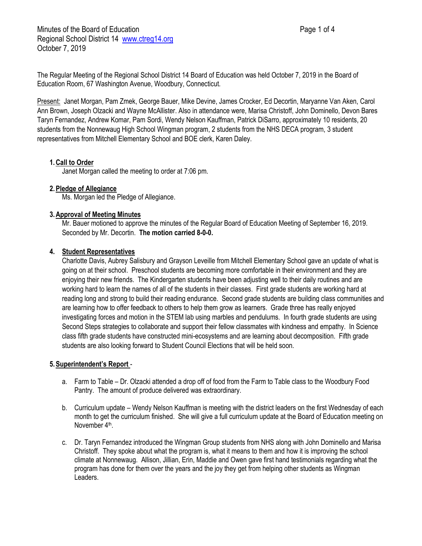Minutes of the Board of Education **Page 1 of 4** and 2 of 4 Regional School District 14 [www.ctreg14.org](http://www.ctreg14.org/) October 7, 2019

The Regular Meeting of the Regional School District 14 Board of Education was held October 7, 2019 in the Board of Education Room, 67 Washington Avenue, Woodbury, Connecticut.

Present: Janet Morgan, Pam Zmek, George Bauer, Mike Devine, James Crocker, Ed Decortin, Maryanne Van Aken, Carol Ann Brown, Joseph Olzacki and Wayne McAllister. Also in attendance were, Marisa Christoff, John Dominello, Devon Bares Taryn Fernandez, Andrew Komar, Pam Sordi, Wendy Nelson Kauffman, Patrick DiSarro, approximately 10 residents, 20 students from the Nonnewaug High School Wingman program, 2 students from the NHS DECA program, 3 student representatives from Mitchell Elementary School and BOE clerk, Karen Daley.

## **1.Call to Order**

Janet Morgan called the meeting to order at 7:06 pm.

### **2.Pledge of Allegiance**

Ms. Morgan led the Pledge of Allegiance.

### **3.Approval of Meeting Minutes**

Mr. Bauer motioned to approve the minutes of the Regular Board of Education Meeting of September 16, 2019. Seconded by Mr. Decortin. **The motion carried 8-0-0.**

### **4. Student Representatives**

Charlotte Davis, Aubrey Salisbury and Grayson Leveille from Mitchell Elementary School gave an update of what is going on at their school. Preschool students are becoming more comfortable in their environment and they are enjoying their new friends. The Kindergarten students have been adjusting well to their daily routines and are working hard to learn the names of all of the students in their classes. First grade students are working hard at reading long and strong to build their reading endurance. Second grade students are building class communities and are learning how to offer feedback to others to help them grow as learners. Grade three has really enjoyed investigating forces and motion in the STEM lab using marbles and pendulums. In fourth grade students are using Second Steps strategies to collaborate and support their fellow classmates with kindness and empathy. In Science class fifth grade students have constructed mini-ecosystems and are learning about decomposition. Fifth grade students are also looking forward to Student Council Elections that will be held soon.

### **5.Superintendent's Report** -

- a. Farm to Table Dr. Olzacki attended a drop off of food from the Farm to Table class to the Woodbury Food Pantry. The amount of produce delivered was extraordinary.
- b. Curriculum update Wendy Nelson Kauffman is meeting with the district leaders on the first Wednesday of each month to get the curriculum finished. She will give a full curriculum update at the Board of Education meeting on November 4<sup>th</sup>.
- c. Dr. Taryn Fernandez introduced the Wingman Group students from NHS along with John Dominello and Marisa Christoff. They spoke about what the program is, what it means to them and how it is improving the school climate at Nonnewaug. Allison, Jillian, Erin, Maddie and Owen gave first hand testimonials regarding what the program has done for them over the years and the joy they get from helping other students as Wingman Leaders.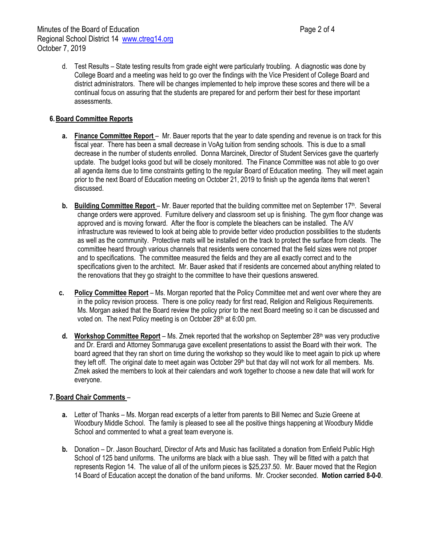d. Test Results – State testing results from grade eight were particularly troubling. A diagnostic was done by College Board and a meeting was held to go over the findings with the Vice President of College Board and district administrators. There will be changes implemented to help improve these scores and there will be a continual focus on assuring that the students are prepared for and perform their best for these important assessments.

# **6.Board Committee Reports**

- **a. Finance Committee Report** Mr. Bauer reports that the year to date spending and revenue is on track for this fiscal year. There has been a small decrease in VoAg tuition from sending schools. This is due to a small decrease in the number of students enrolled. Donna Marcinek, Director of Student Services gave the quarterly update. The budget looks good but will be closely monitored. The Finance Committee was not able to go over all agenda items due to time constraints getting to the regular Board of Education meeting. They will meet again prior to the next Board of Education meeting on October 21, 2019 to finish up the agenda items that weren't discussed.
- **b.** Building Committee Report Mr. Bauer reported that the building committee met on September 17<sup>th</sup>. Several change orders were approved. Furniture delivery and classroom set up is finishing. The gym floor change was approved and is moving forward. After the floor is complete the bleachers can be installed. The A/V infrastructure was reviewed to look at being able to provide better video production possibilities to the students as well as the community. Protective mats will be installed on the track to protect the surface from cleats. The committee heard through various channels that residents were concerned that the field sizes were not proper and to specifications. The committee measured the fields and they are all exactly correct and to the specifications given to the architect. Mr. Bauer asked that if residents are concerned about anything related to the renovations that they go straight to the committee to have their questions answered.
- **c. Policy Committee Report** Ms. Morgan reported that the Policy Committee met and went over where they are in the policy revision process. There is one policy ready for first read, Religion and Religious Requirements. Ms. Morgan asked that the Board review the policy prior to the next Board meeting so it can be discussed and voted on. The next Policy meeting is on October 28<sup>th</sup> at 6:00 pm.
- **d.** Workshop Committee Report Ms. Zmek reported that the workshop on September 28<sup>th</sup> was very productive and Dr. Erardi and Attorney Sommaruga gave excellent presentations to assist the Board with their work. The board agreed that they ran short on time during the workshop so they would like to meet again to pick up where they left off. The original date to meet again was October 29<sup>th</sup> but that day will not work for all members. Ms. Zmek asked the members to look at their calendars and work together to choose a new date that will work for everyone.

## **7.Board Chair Comments** –

- **a.** Letter of Thanks Ms. Morgan read excerpts of a letter from parents to Bill Nemec and Suzie Greene at Woodbury Middle School. The family is pleased to see all the positive things happening at Woodbury Middle School and commented to what a great team everyone is.
- **b.** Donation Dr. Jason Bouchard, Director of Arts and Music has facilitated a donation from Enfield Public High School of 125 band uniforms. The uniforms are black with a blue sash. They will be fitted with a patch that represents Region 14. The value of all of the uniform pieces is \$25,237.50. Mr. Bauer moved that the Region 14 Board of Education accept the donation of the band uniforms. Mr. Crocker seconded. **Motion carried 8-0-0**.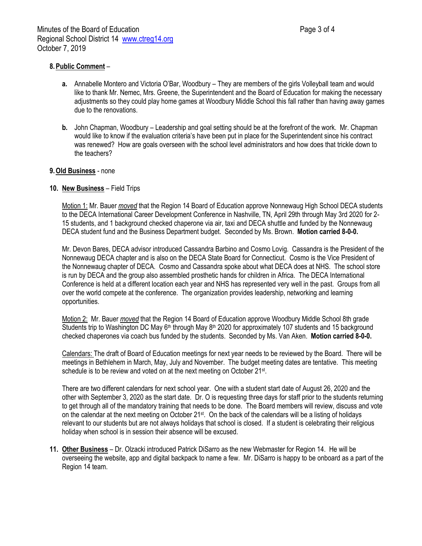# **8.Public Comment** –

- **a.** Annabelle Montero and Victoria O'Bar, Woodbury They are members of the girls Volleyball team and would like to thank Mr. Nemec, Mrs. Greene, the Superintendent and the Board of Education for making the necessary adjustments so they could play home games at Woodbury Middle School this fall rather than having away games due to the renovations.
- **b.** John Chapman, Woodbury Leadership and goal setting should be at the forefront of the work. Mr. Chapman would like to know if the evaluation criteria's have been put in place for the Superintendent since his contract was renewed? How are goals overseen with the school level administrators and how does that trickle down to the teachers?

### **9.Old Business** - none

### **10. New Business** – Field Trips

Motion 1: Mr. Bauer *moved* that the Region 14 Board of Education approve Nonnewaug High School DECA students to the DECA International Career Development Conference in Nashville, TN, April 29th through May 3rd 2020 for 2- 15 students, and 1 background checked chaperone via air, taxi and DECA shuttle and funded by the Nonnewaug DECA student fund and the Business Department budget. Seconded by Ms. Brown. **Motion carried 8-0-0.**

Mr. Devon Bares, DECA advisor introduced Cassandra Barbino and Cosmo Lovig. Cassandra is the President of the Nonnewaug DECA chapter and is also on the DECA State Board for Connecticut. Cosmo is the Vice President of the Nonnewaug chapter of DECA. Cosmo and Cassandra spoke about what DECA does at NHS. The school store is run by DECA and the group also assembled prosthetic hands for children in Africa. The DECA International Conference is held at a different location each year and NHS has represented very well in the past. Groups from all over the world compete at the conference. The organization provides leadership, networking and learning opportunities.

Motion 2: Mr. Bauer *moved* that the Region 14 Board of Education approve Woodbury Middle School 8th grade Students trip to Washington DC May 6<sup>th</sup> through May 8<sup>th</sup> 2020 for approximately 107 students and 15 background checked chaperones via coach bus funded by the students. Seconded by Ms. Van Aken. **Motion carried 8-0-0.**

Calendars: The draft of Board of Education meetings for next year needs to be reviewed by the Board. There will be meetings in Bethlehem in March, May, July and November. The budget meeting dates are tentative. This meeting schedule is to be review and voted on at the next meeting on October 21<sup>st</sup>.

There are two different calendars for next school year. One with a student start date of August 26, 2020 and the other with September 3, 2020 as the start date. Dr. O is requesting three days for staff prior to the students returning to get through all of the mandatory training that needs to be done. The Board members will review, discuss and vote on the calendar at the next meeting on October 21st. On the back of the calendars will be a listing of holidays relevant to our students but are not always holidays that school is closed. If a student is celebrating their religious holiday when school is in session their absence will be excused.

**11. Other Business** – Dr. Olzacki introduced Patrick DiSarro as the new Webmaster for Region 14. He will be overseeing the website, app and digital backpack to name a few. Mr. DiSarro is happy to be onboard as a part of the Region 14 team.